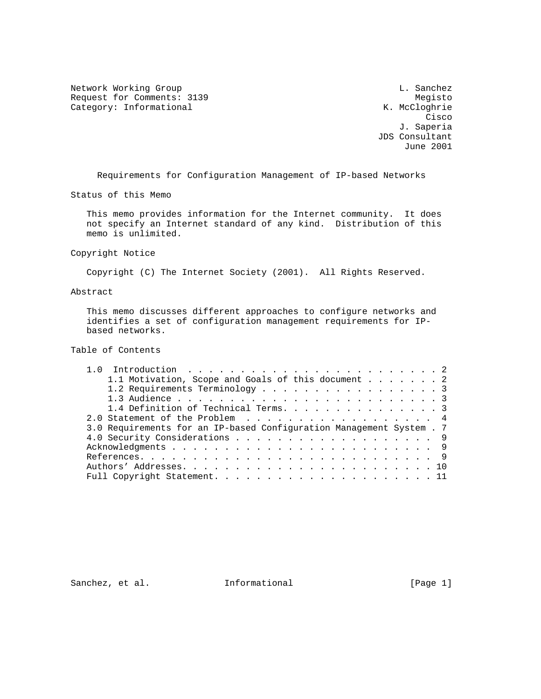Network Working Group and the control of the control of the control of the control of the control of the control of the control of the control of the control of the control of the control of the control of the control of t Request for Comments: 3139<br>
Category: Informational Megisto Megisto Megisto Category: Informational

**Cisco de la constitución de la constitución de la constitución de la constitución de la constitución de la co**  J. Saperia JDS Consultant June 2001

Requirements for Configuration Management of IP-based Networks

Status of this Memo

 This memo provides information for the Internet community. It does not specify an Internet standard of any kind. Distribution of this memo is unlimited.

Copyright Notice

Copyright (C) The Internet Society (2001). All Rights Reserved.

Abstract

 This memo discusses different approaches to configure networks and identifies a set of configuration management requirements for IP based networks.

Table of Contents

| 1.1 Motivation, Scope and Goals of this document 2                   |                               |
|----------------------------------------------------------------------|-------------------------------|
| 1.2 Requirements Terminology 3                                       |                               |
|                                                                      |                               |
| 1.4 Definition of Technical Terms. 3                                 |                               |
| 2.0 Statement of the Problem 4                                       |                               |
| 3.0 Requirements for an IP-based Configuration Management System . 7 |                               |
|                                                                      |                               |
|                                                                      |                               |
|                                                                      |                               |
|                                                                      |                               |
|                                                                      |                               |
|                                                                      | 4.0 Security Considerations 9 |

Sanchez, et al. 1nformational [Page 1]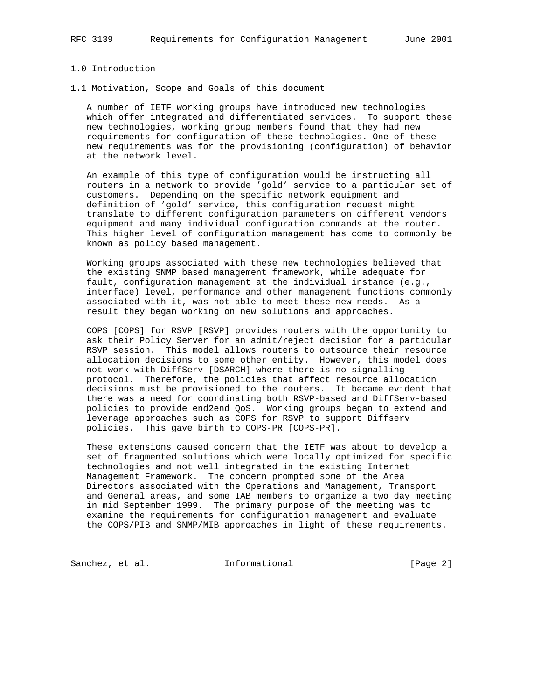## 1.0 Introduction

1.1 Motivation, Scope and Goals of this document

 A number of IETF working groups have introduced new technologies which offer integrated and differentiated services. To support these new technologies, working group members found that they had new requirements for configuration of these technologies. One of these new requirements was for the provisioning (configuration) of behavior at the network level.

 An example of this type of configuration would be instructing all routers in a network to provide 'gold' service to a particular set of customers. Depending on the specific network equipment and definition of 'gold' service, this configuration request might translate to different configuration parameters on different vendors equipment and many individual configuration commands at the router. This higher level of configuration management has come to commonly be known as policy based management.

 Working groups associated with these new technologies believed that the existing SNMP based management framework, while adequate for fault, configuration management at the individual instance (e.g., interface) level, performance and other management functions commonly associated with it, was not able to meet these new needs. As a result they began working on new solutions and approaches.

 COPS [COPS] for RSVP [RSVP] provides routers with the opportunity to ask their Policy Server for an admit/reject decision for a particular RSVP session. This model allows routers to outsource their resource allocation decisions to some other entity. However, this model does not work with DiffServ [DSARCH] where there is no signalling protocol. Therefore, the policies that affect resource allocation decisions must be provisioned to the routers. It became evident that there was a need for coordinating both RSVP-based and DiffServ-based policies to provide end2end QoS. Working groups began to extend and leverage approaches such as COPS for RSVP to support Diffserv policies. This gave birth to COPS-PR [COPS-PR].

 These extensions caused concern that the IETF was about to develop a set of fragmented solutions which were locally optimized for specific technologies and not well integrated in the existing Internet Management Framework. The concern prompted some of the Area Directors associated with the Operations and Management, Transport and General areas, and some IAB members to organize a two day meeting in mid September 1999. The primary purpose of the meeting was to examine the requirements for configuration management and evaluate the COPS/PIB and SNMP/MIB approaches in light of these requirements.

Sanchez, et al. **Informational** [Page 2]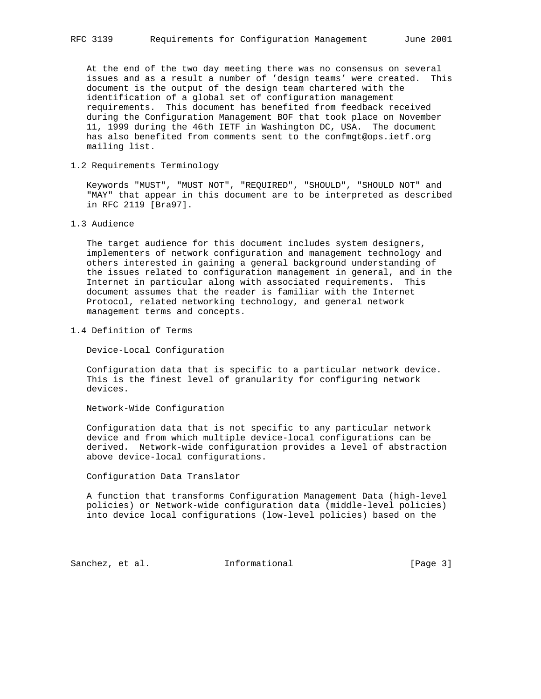At the end of the two day meeting there was no consensus on several issues and as a result a number of 'design teams' were created. This document is the output of the design team chartered with the identification of a global set of configuration management requirements. This document has benefited from feedback received during the Configuration Management BOF that took place on November 11, 1999 during the 46th IETF in Washington DC, USA. The document has also benefited from comments sent to the confmgt@ops.ietf.org mailing list.

## 1.2 Requirements Terminology

 Keywords "MUST", "MUST NOT", "REQUIRED", "SHOULD", "SHOULD NOT" and "MAY" that appear in this document are to be interpreted as described in RFC 2119 [Bra97].

1.3 Audience

 The target audience for this document includes system designers, implementers of network configuration and management technology and others interested in gaining a general background understanding of the issues related to configuration management in general, and in the Internet in particular along with associated requirements. This document assumes that the reader is familiar with the Internet Protocol, related networking technology, and general network management terms and concepts.

1.4 Definition of Terms

Device-Local Configuration

 Configuration data that is specific to a particular network device. This is the finest level of granularity for configuring network devices.

Network-Wide Configuration

 Configuration data that is not specific to any particular network device and from which multiple device-local configurations can be derived. Network-wide configuration provides a level of abstraction above device-local configurations.

Configuration Data Translator

 A function that transforms Configuration Management Data (high-level policies) or Network-wide configuration data (middle-level policies) into device local configurations (low-level policies) based on the

Sanchez, et al. **Informational** [Page 3]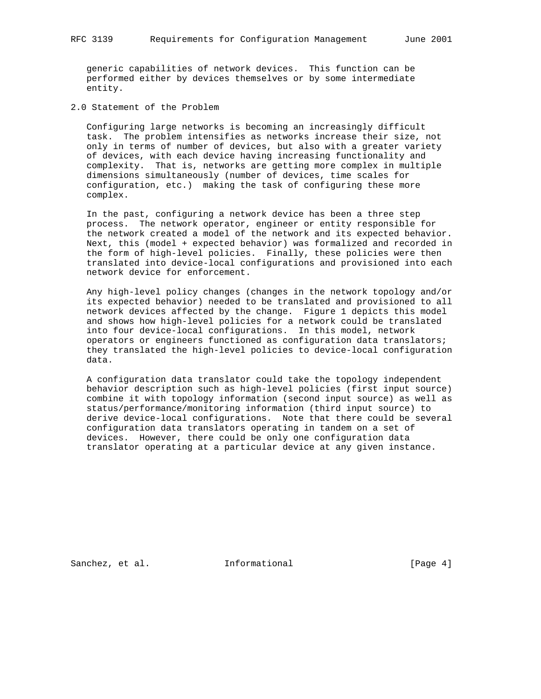generic capabilities of network devices. This function can be performed either by devices themselves or by some intermediate entity.

2.0 Statement of the Problem

 Configuring large networks is becoming an increasingly difficult task. The problem intensifies as networks increase their size, not only in terms of number of devices, but also with a greater variety of devices, with each device having increasing functionality and complexity. That is, networks are getting more complex in multiple dimensions simultaneously (number of devices, time scales for configuration, etc.) making the task of configuring these more complex.

 In the past, configuring a network device has been a three step process. The network operator, engineer or entity responsible for the network created a model of the network and its expected behavior. Next, this (model + expected behavior) was formalized and recorded in the form of high-level policies. Finally, these policies were then translated into device-local configurations and provisioned into each network device for enforcement.

 Any high-level policy changes (changes in the network topology and/or its expected behavior) needed to be translated and provisioned to all network devices affected by the change. Figure 1 depicts this model and shows how high-level policies for a network could be translated into four device-local configurations. In this model, network operators or engineers functioned as configuration data translators; they translated the high-level policies to device-local configuration data.

 A configuration data translator could take the topology independent behavior description such as high-level policies (first input source) combine it with topology information (second input source) as well as status/performance/monitoring information (third input source) to derive device-local configurations. Note that there could be several configuration data translators operating in tandem on a set of devices. However, there could be only one configuration data translator operating at a particular device at any given instance.

Sanchez, et al. **Informational** [Page 4]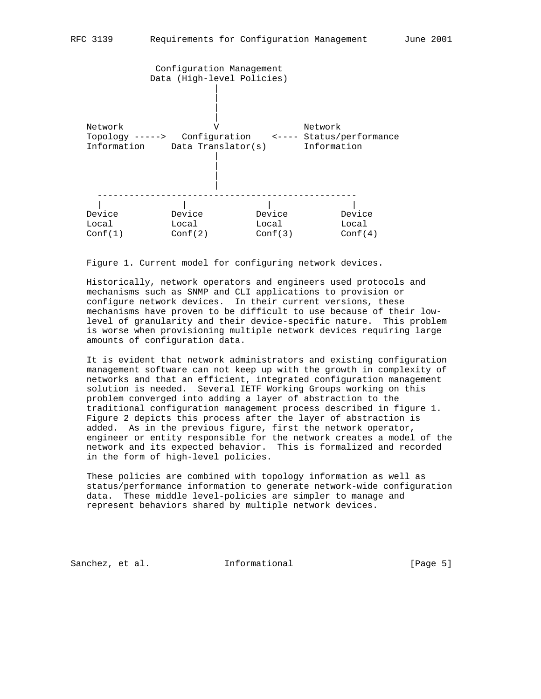

Figure 1. Current model for configuring network devices.

 Historically, network operators and engineers used protocols and mechanisms such as SNMP and CLI applications to provision or configure network devices. In their current versions, these mechanisms have proven to be difficult to use because of their low level of granularity and their device-specific nature. This problem is worse when provisioning multiple network devices requiring large amounts of configuration data.

 It is evident that network administrators and existing configuration management software can not keep up with the growth in complexity of networks and that an efficient, integrated configuration management solution is needed. Several IETF Working Groups working on this problem converged into adding a layer of abstraction to the traditional configuration management process described in figure 1. Figure 2 depicts this process after the layer of abstraction is added. As in the previous figure, first the network operator, engineer or entity responsible for the network creates a model of the network and its expected behavior. This is formalized and recorded in the form of high-level policies.

 These policies are combined with topology information as well as status/performance information to generate network-wide configuration data. These middle level-policies are simpler to manage and represent behaviors shared by multiple network devices.

Sanchez, et al. **Informational** [Page 5]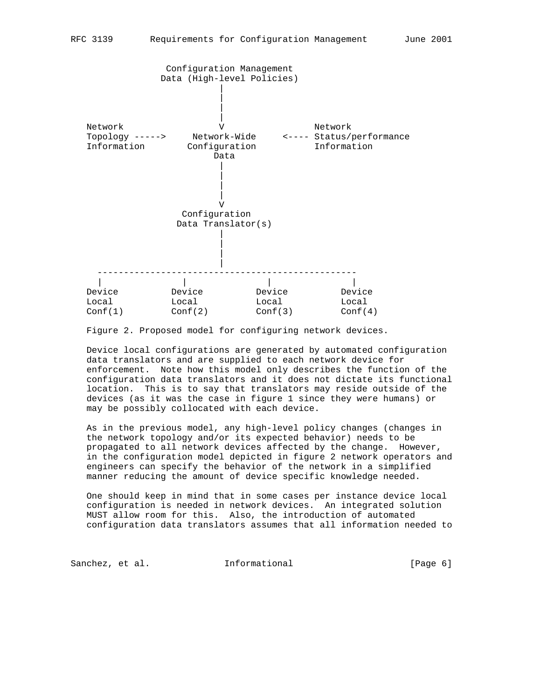

Figure 2. Proposed model for configuring network devices.

 Device local configurations are generated by automated configuration data translators and are supplied to each network device for enforcement. Note how this model only describes the function of the configuration data translators and it does not dictate its functional location. This is to say that translators may reside outside of the devices (as it was the case in figure 1 since they were humans) or may be possibly collocated with each device.

 As in the previous model, any high-level policy changes (changes in the network topology and/or its expected behavior) needs to be propagated to all network devices affected by the change. However, in the configuration model depicted in figure 2 network operators and engineers can specify the behavior of the network in a simplified manner reducing the amount of device specific knowledge needed.

 One should keep in mind that in some cases per instance device local configuration is needed in network devices. An integrated solution MUST allow room for this. Also, the introduction of automated configuration data translators assumes that all information needed to

Sanchez, et al. **Informational** [Page 6]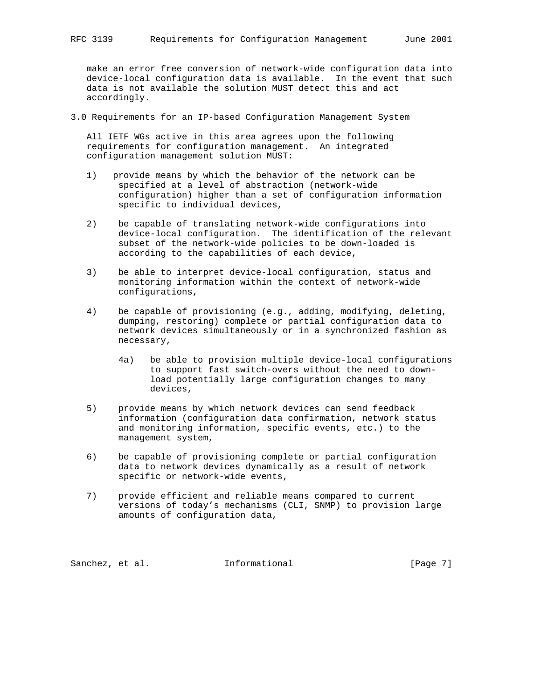make an error free conversion of network-wide configuration data into device-local configuration data is available. In the event that such data is not available the solution MUST detect this and act accordingly.

3.0 Requirements for an IP-based Configuration Management System

 All IETF WGs active in this area agrees upon the following requirements for configuration management. An integrated configuration management solution MUST:

- 1) provide means by which the behavior of the network can be specified at a level of abstraction (network-wide configuration) higher than a set of configuration information specific to individual devices,
- 2) be capable of translating network-wide configurations into device-local configuration. The identification of the relevant subset of the network-wide policies to be down-loaded is according to the capabilities of each device,
- 3) be able to interpret device-local configuration, status and monitoring information within the context of network-wide configurations,
- 4) be capable of provisioning (e.g., adding, modifying, deleting, dumping, restoring) complete or partial configuration data to network devices simultaneously or in a synchronized fashion as necessary,
	- 4a) be able to provision multiple device-local configurations to support fast switch-overs without the need to down load potentially large configuration changes to many devices,
- 5) provide means by which network devices can send feedback information (configuration data confirmation, network status and monitoring information, specific events, etc.) to the management system,
- 6) be capable of provisioning complete or partial configuration data to network devices dynamically as a result of network specific or network-wide events,
- 7) provide efficient and reliable means compared to current versions of today's mechanisms (CLI, SNMP) to provision large amounts of configuration data,

Sanchez, et al. **Informational** [Page 7]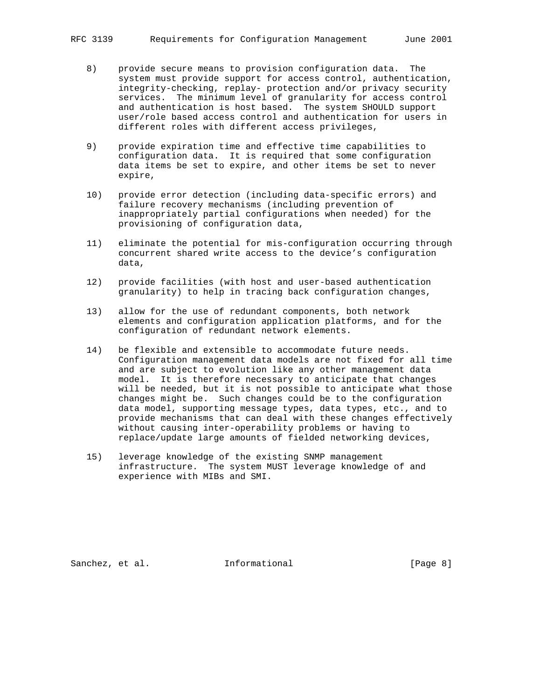- 8) provide secure means to provision configuration data. The system must provide support for access control, authentication, integrity-checking, replay- protection and/or privacy security services. The minimum level of granularity for access control and authentication is host based. The system SHOULD support user/role based access control and authentication for users in different roles with different access privileges,
- 9) provide expiration time and effective time capabilities to configuration data. It is required that some configuration data items be set to expire, and other items be set to never expire,
- 10) provide error detection (including data-specific errors) and failure recovery mechanisms (including prevention of inappropriately partial configurations when needed) for the provisioning of configuration data,
- 11) eliminate the potential for mis-configuration occurring through concurrent shared write access to the device's configuration data,
- 12) provide facilities (with host and user-based authentication granularity) to help in tracing back configuration changes,
- 13) allow for the use of redundant components, both network elements and configuration application platforms, and for the configuration of redundant network elements.
- 14) be flexible and extensible to accommodate future needs. Configuration management data models are not fixed for all time and are subject to evolution like any other management data model. It is therefore necessary to anticipate that changes will be needed, but it is not possible to anticipate what those changes might be. Such changes could be to the configuration data model, supporting message types, data types, etc., and to provide mechanisms that can deal with these changes effectively without causing inter-operability problems or having to replace/update large amounts of fielded networking devices,
- 15) leverage knowledge of the existing SNMP management infrastructure. The system MUST leverage knowledge of and experience with MIBs and SMI.

Sanchez, et al. **Informational** [Page 8]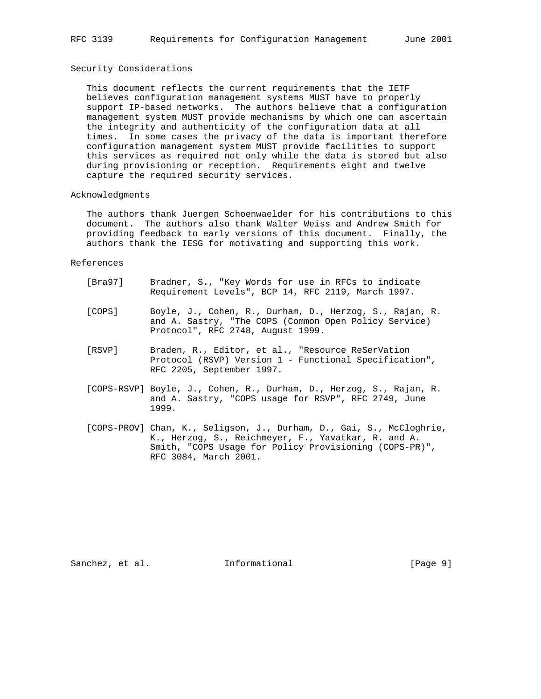### Security Considerations

 This document reflects the current requirements that the IETF believes configuration management systems MUST have to properly support IP-based networks. The authors believe that a configuration management system MUST provide mechanisms by which one can ascertain the integrity and authenticity of the configuration data at all times. In some cases the privacy of the data is important therefore configuration management system MUST provide facilities to support this services as required not only while the data is stored but also during provisioning or reception. Requirements eight and twelve capture the required security services.

#### Acknowledgments

 The authors thank Juergen Schoenwaelder for his contributions to this document. The authors also thank Walter Weiss and Andrew Smith for providing feedback to early versions of this document. Finally, the authors thank the IESG for motivating and supporting this work.

#### References

- [Bra97] Bradner, S., "Key Words for use in RFCs to indicate Requirement Levels", BCP 14, RFC 2119, March 1997.
- [COPS] Boyle, J., Cohen, R., Durham, D., Herzog, S., Rajan, R. and A. Sastry, "The COPS (Common Open Policy Service) Protocol", RFC 2748, August 1999.
- [RSVP] Braden, R., Editor, et al., "Resource ReSerVation Protocol (RSVP) Version 1 - Functional Specification", RFC 2205, September 1997.
- [COPS-RSVP] Boyle, J., Cohen, R., Durham, D., Herzog, S., Rajan, R. and A. Sastry, "COPS usage for RSVP", RFC 2749, June 1999.
- [COPS-PROV] Chan, K., Seligson, J., Durham, D., Gai, S., McCloghrie, K., Herzog, S., Reichmeyer, F., Yavatkar, R. and A. Smith, "COPS Usage for Policy Provisioning (COPS-PR)", RFC 3084, March 2001.

Sanchez, et al. 1nformational 1999 [Page 9]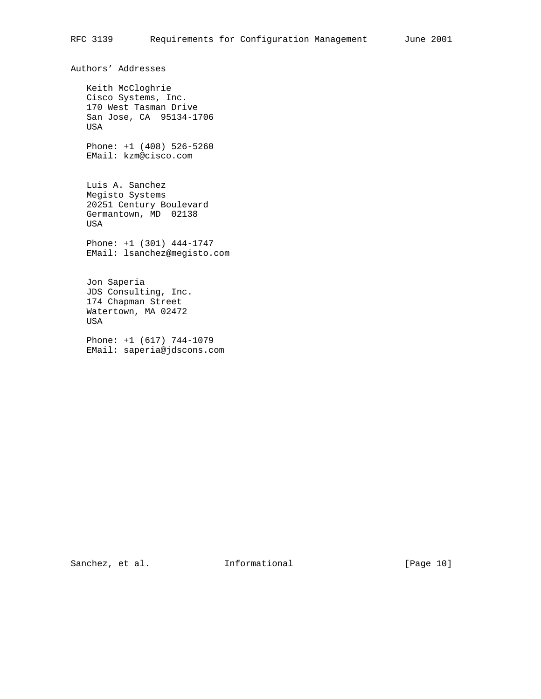Authors' Addresses Keith McCloghrie Cisco Systems, Inc. 170 West Tasman Drive San Jose, CA 95134-1706 USA Phone: +1 (408) 526-5260 EMail: kzm@cisco.com Luis A. Sanchez Megisto Systems 20251 Century Boulevard Germantown, MD 02138 USA Phone: +1 (301) 444-1747 EMail: lsanchez@megisto.com Jon Saperia JDS Consulting, Inc. 174 Chapman Street Watertown, MA 02472 USA Phone: +1 (617) 744-1079 EMail: saperia@jdscons.com

Sanchez, et al. 1nformational [Page 10]